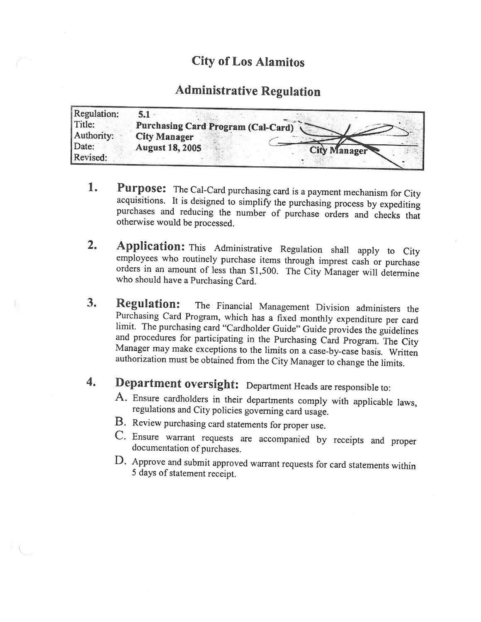### City of Los Alamitos

### Administrative Regulation

| Regulation: |                                           |                     |
|-------------|-------------------------------------------|---------------------|
| Title:      | <b>Purchasing Card Program (Cal-Card)</b> |                     |
| Authority:  | <b>City Manager</b>                       |                     |
| Date:       | <b>August 18, 2005</b>                    | <b>City Manager</b> |
| Revised:    |                                           |                     |

- 1. Purpose: The Cal-Card purchasing card is a payment mechanism for City acquisitions. It is designed to simplify the purchasing process by expediting purchases and reducing the number of purchase orders and checks that otherwise would be processed.
- 2. Application: This Administrative Regulation shall apply to City employees who routinely purchase items through imprest cash or purchase orders in an amount of less than \$1,500. The City Manager will determine who should have a Purchasing Card.
- 3. Regulation: The Financial Management Division administers the Purchasing Card Program, which has a fixed monthly expenditure per card limit. The purchasing card "Cardholder Guide" Guide provides the guidelines and procedures for participating in the Purchasing Card Program. The City and procedures for participating in the Purchasing Card Program. The City Manager may make exceptions to the limits on a case-by-case basis. Written authorization must be obtained from the City Manager to change the limits.

# 4. Department oversight: Department Heads are responsible to:

- A. Ensure cardholders in their departments comply with applicable laws, regulations and City policies governing card usage.
- B. Review purchasing card statements for proper use.
- C. Ensure warrant requests are accompanied by receipts and proper documentation of purchases.
- D. Approve and submit approved warrant requests for card statements within <sup>5</sup> days of statement receipt.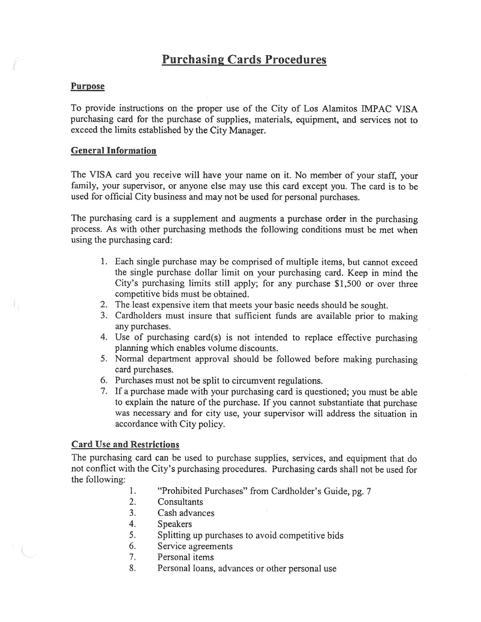### Purchasing Cards Procedures

#### Purpose

To provide instructions on the proper use of the City of Los Alamitos IMPAC VISA purchasing card for the purchase of supplies, materials, equipment, and services not to exceed the limits established by the City Manager.

#### General Information

The VISA card you receive will have your name on it. No member of your staff, your family, your supervisor, or anyone else may use this card except you. The card is to be used for official City business and may not be used for personal purchases.

The purchasing card is a supplement and augments a purchase order in the purchasing process. As with other purchasing methods the following conditions must be met when using the purchasing card:

- 1. Each single purchase may be comprised of multiple items, but cannot exceed the single purchase dollar limit on your purchasing card. Keep in mind the City's purchasing limits still apply; for any purchase  $$1,500$  or over three competitive bids must be obtained.
- 2. The least expensive item that meets your basic needs should be sought.
- 3. Cardholders must insure that sufficient funds are available prior to making any purchases.
- 4. Use of purchasing card(s) is not intended to replace effective purchasing planning which enables volume discounts.
- 5. Normal department approval should be followed before making purchasing card purchases.
- 6. Purchases must not be split to circumvent regulations.
- 7. If <sup>a</sup> purchase made with your purchasing card is questioned; you must be able to explain the nature of the purchase. If you cannot substantiate that purchase was necessary and for city use, your supervisor will address the situation in accordance with City policy.

#### Card Use and Restrictions

The purchasing card can be used to purchase supplies, services, and equipment that do not conflict with the City's purchasing procedures. Purchasing cards shall not be used for the following:

- 1. "Prohibited Purchases" from Cardholder's Guide, pg. 7<br>2. Consultants
- **Consultants**
- 3. Cash advances
- 4. Speakers
- 5. Splitting up purchases to avoid competitive bids
- 6. Service agreements
- 7. Personal items
- 8. Personal loans, advances or other personal use